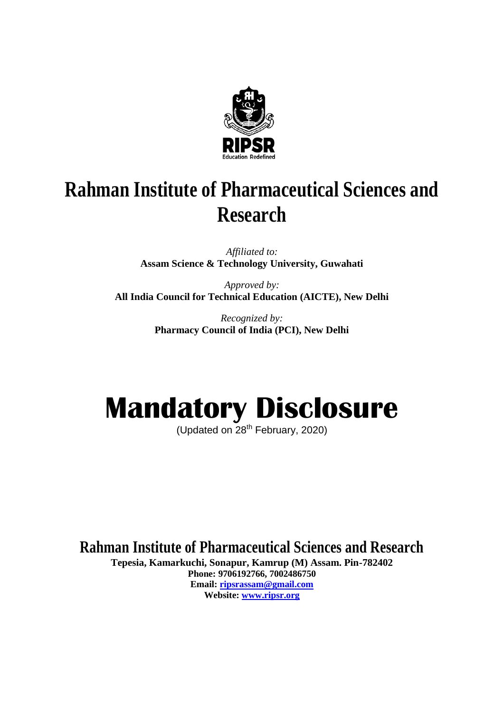

# **Rahman Institute of Pharmaceutical Sciences and Research**

*Affiliated to:* **Assam Science & Technology University, Guwahati** 

*Approved by:* **All India Council for Technical Education (AICTE), New Delhi**

> *Recognized by:* **Pharmacy Council of India (PCI), New Delhi**

# **Mandatory Disclosure**

(Updated on 28<sup>th</sup> February, 2020)

**Rahman Institute of Pharmaceutical Sciences and Research** 

**Tepesia, Kamarkuchi, Sonapur, Kamrup (M) Assam. Pin-782402 Phone: 9706192766, 7002486750 Email: [ripsrassam@gmail.com](mailto:ripsrassam@gmail.com) Website: [www.ripsr.org](http://www.ripsr.org/)**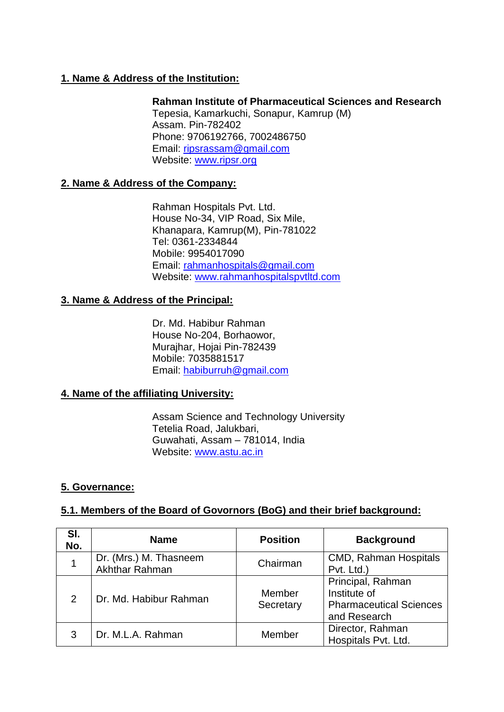# **1. Name & Address of the Institution:**

**Rahman Institute of Pharmaceutical Sciences and Research** Tepesia, Kamarkuchi, Sonapur, Kamrup (M) Assam. Pin-782402 Phone: 9706192766, 7002486750 Email: [ripsrassam@gmail.com](mailto:ripsrassam@gmail.com) Website: [www.ripsr.org](http://www.ripsr.org/)

#### **2. Name & Address of the Company:**

Rahman Hospitals Pvt. Ltd. House No-34, VIP Road, Six Mile, Khanapara, Kamrup(M), Pin-781022 Tel: 0361-2334844 Mobile: 9954017090 Email: [rahmanhospitals@gmail.com](mailto:rahmanhospitals@gmail.com) Website: [www.rahmanhospitalspvtltd.com](http://www.rahmanhospitalspvtltd.com/)

#### **3. Name & Address of the Principal:**

Dr. Md. Habibur Rahman House No-204, Borhaowor, Murajhar, Hojai Pin-782439 Mobile: 7035881517 Email: [habiburruh@gmail.com](mailto:habiburruh@gmail.com)

#### **4. Name of the affiliating University:**

Assam Science and Technology University Tetelia Road, Jalukbari, Guwahati, Assam – 781014, India Website: [www.astu.ac.in](http://www.astu.ac.in/)

# **5. Governance:**

#### **5.1. Members of the Board of Govornors (BoG) and their brief background:**

| SI.<br>No. | <b>Name</b>                              | <b>Position</b>     | <b>Background</b>                                                                   |
|------------|------------------------------------------|---------------------|-------------------------------------------------------------------------------------|
|            | Dr. (Mrs.) M. Thasneem<br>Akhthar Rahman | Chairman            | <b>CMD, Rahman Hospitals</b><br>Pvt. Ltd.)                                          |
| 2          | Dr. Md. Habibur Rahman                   | Member<br>Secretary | Principal, Rahman<br>Institute of<br><b>Pharmaceutical Sciences</b><br>and Research |
| 3          | Dr. M.L.A. Rahman                        | Member              | Director, Rahman<br>Hospitals Pvt. Ltd.                                             |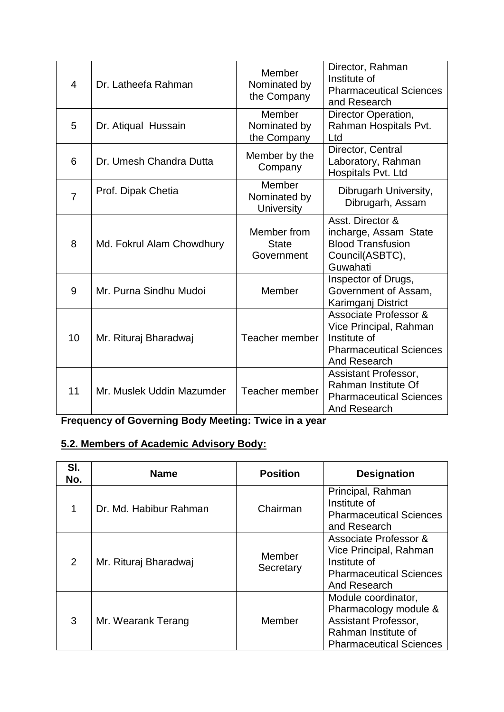| $\overline{4}$ | Dr. Latheefa Rahman       | Member<br>Nominated by<br>the Company       | Director, Rahman<br>Institute of<br><b>Pharmaceutical Sciences</b><br>and Research                                           |
|----------------|---------------------------|---------------------------------------------|------------------------------------------------------------------------------------------------------------------------------|
| 5              | Dr. Atiqual Hussain       | Member<br>Nominated by<br>the Company       | Director Operation,<br>Rahman Hospitals Pvt.<br>Ltd                                                                          |
| 6              | Dr. Umesh Chandra Dutta   | Member by the<br>Company                    | Director, Central<br>Laboratory, Rahman<br>Hospitals Pvt. Ltd                                                                |
| $\overline{7}$ | Prof. Dipak Chetia        | Member<br>Nominated by<br><b>University</b> | Dibrugarh University,<br>Dibrugarh, Assam                                                                                    |
| 8              | Md. Fokrul Alam Chowdhury | Member from<br><b>State</b><br>Government   | Asst. Director &<br>incharge, Assam State<br><b>Blood Transfusion</b><br>Council(ASBTC),<br>Guwahati                         |
| 9              | Mr. Purna Sindhu Mudoi    | Member                                      | Inspector of Drugs,<br>Government of Assam,<br>Karimganj District                                                            |
| 10             | Mr. Rituraj Bharadwaj     | Teacher member                              | <b>Associate Professor &amp;</b><br>Vice Principal, Rahman<br>Institute of<br><b>Pharmaceutical Sciences</b><br>And Research |
| 11             | Mr. Muslek Uddin Mazumder | Teacher member                              | Assistant Professor,<br>Rahman Institute Of<br><b>Pharmaceutical Sciences</b><br>And Research                                |

**Frequency of Governing Body Meeting: Twice in a year**

# **5.2. Members of Academic Advisory Body:**

| SI.<br>No.     | <b>Name</b>            | <b>Position</b>     | <b>Designation</b>                                                                                                            |
|----------------|------------------------|---------------------|-------------------------------------------------------------------------------------------------------------------------------|
| 1              | Dr. Md. Habibur Rahman | Chairman            | Principal, Rahman<br>Institute of<br><b>Pharmaceutical Sciences</b><br>and Research                                           |
| $\overline{2}$ | Mr. Rituraj Bharadwaj  | Member<br>Secretary | Associate Professor &<br>Vice Principal, Rahman<br>Institute of<br><b>Pharmaceutical Sciences</b><br>And Research             |
| 3              | Mr. Wearank Terang     | Member              | Module coordinator,<br>Pharmacology module &<br>Assistant Professor,<br>Rahman Institute of<br><b>Pharmaceutical Sciences</b> |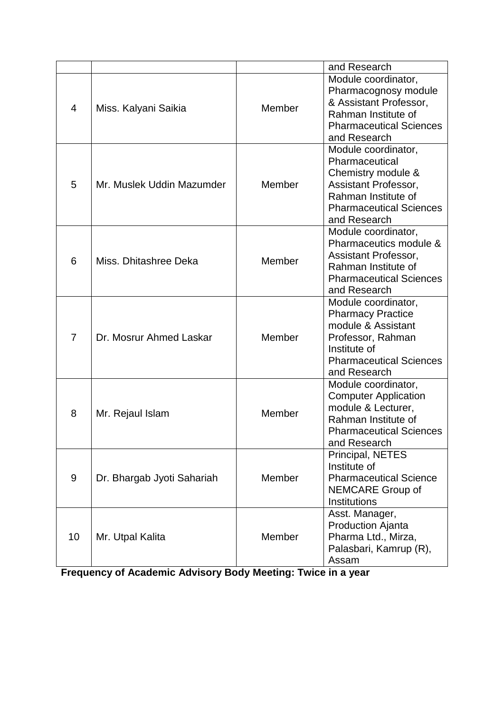|                |                            |        | and Research                   |
|----------------|----------------------------|--------|--------------------------------|
|                |                            |        | Module coordinator,            |
|                | Miss. Kalyani Saikia       |        | Pharmacognosy module           |
| 4              |                            | Member | & Assistant Professor,         |
|                |                            |        | Rahman Institute of            |
|                |                            |        | <b>Pharmaceutical Sciences</b> |
|                |                            |        | and Research                   |
|                |                            |        | Module coordinator,            |
|                |                            |        | Pharmaceutical                 |
|                |                            |        | Chemistry module &             |
| 5              | Mr. Muslek Uddin Mazumder  | Member | Assistant Professor,           |
|                |                            |        | Rahman Institute of            |
|                |                            |        | <b>Pharmaceutical Sciences</b> |
|                |                            |        | and Research                   |
|                |                            |        | Module coordinator,            |
|                |                            |        | Pharmaceutics module &         |
| 6              | Miss. Dhitashree Deka      | Member | Assistant Professor,           |
|                |                            |        | Rahman Institute of            |
|                |                            |        | <b>Pharmaceutical Sciences</b> |
|                |                            |        | and Research                   |
|                |                            |        | Module coordinator,            |
|                | Dr. Mosrur Ahmed Laskar    | Member | <b>Pharmacy Practice</b>       |
|                |                            |        | module & Assistant             |
| $\overline{7}$ |                            |        | Professor, Rahman              |
|                |                            |        | Institute of                   |
|                |                            |        | <b>Pharmaceutical Sciences</b> |
|                |                            |        | and Research                   |
|                |                            |        | Module coordinator,            |
|                |                            | Member | <b>Computer Application</b>    |
| 8              | Mr. Rejaul Islam           |        | module & Lecturer,             |
|                |                            |        | Rahman Institute of            |
|                |                            |        | <b>Pharmaceutical Sciences</b> |
|                |                            |        | and Research                   |
|                |                            |        | Principal, NETES               |
|                |                            |        | Institute of                   |
| 9              | Dr. Bhargab Jyoti Sahariah | Member | <b>Pharmaceutical Science</b>  |
|                |                            |        | <b>NEMCARE Group of</b>        |
|                |                            |        | <b>Institutions</b>            |
|                |                            |        | Asst. Manager,                 |
|                |                            |        | <b>Production Ajanta</b>       |
| 10             | Mr. Utpal Kalita           | Member | Pharma Ltd., Mirza,            |
|                |                            |        | Palasbari, Kamrup (R),         |
|                |                            |        | Assam                          |

**Frequency of Academic Advisory Body Meeting: Twice in a year**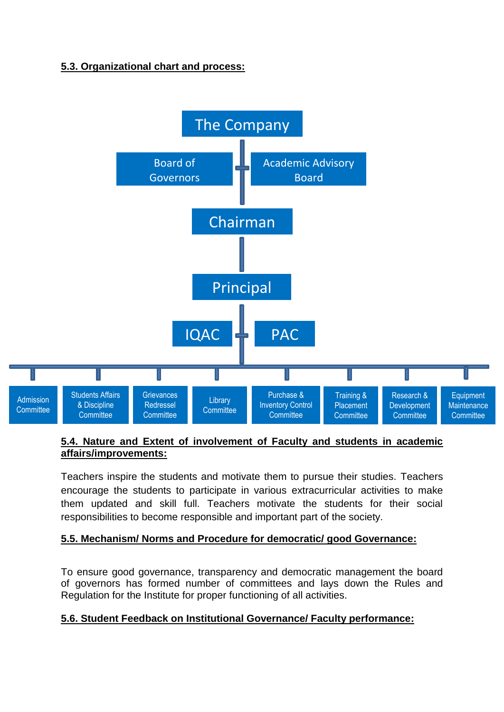# **5.3. Organizational chart and process:**



#### **5.4. Nature and Extent of involvement of Faculty and students in academic affairs/improvements:**

Teachers inspire the students and motivate them to pursue their studies. Teachers encourage the students to participate in various extracurricular activities to make them updated and skill full. Teachers motivate the students for their social responsibilities to become responsible and important part of the society.

# **5.5. Mechanism/ Norms and Procedure for democratic/ good Governance:**

To ensure good governance, transparency and democratic management the board of governors has formed number of committees and lays down the Rules and Regulation for the Institute for proper functioning of all activities.

# **5.6. Student Feedback on Institutional Governance/ Faculty performance:**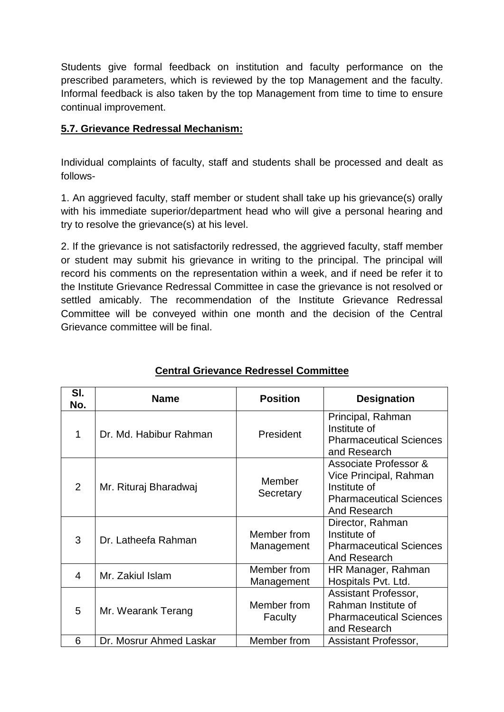Students give formal feedback on institution and faculty performance on the prescribed parameters, which is reviewed by the top Management and the faculty. Informal feedback is also taken by the top Management from time to time to ensure continual improvement.

# **5.7. Grievance Redressal Mechanism:**

Individual complaints of faculty, staff and students shall be processed and dealt as follows-

1. An aggrieved faculty, staff member or student shall take up his grievance(s) orally with his immediate superior/department head who will give a personal hearing and try to resolve the grievance(s) at his level.

2. If the grievance is not satisfactorily redressed, the aggrieved faculty, staff member or student may submit his grievance in writing to the principal. The principal will record his comments on the representation within a week, and if need be refer it to the Institute Grievance Redressal Committee in case the grievance is not resolved or settled amicably. The recommendation of the Institute Grievance Redressal Committee will be conveyed within one month and the decision of the Central Grievance committee will be final.

| SI.<br>No. | <b>Name</b>             | <b>Position</b>           | <b>Designation</b>                                                                                                           |
|------------|-------------------------|---------------------------|------------------------------------------------------------------------------------------------------------------------------|
| 1          | Dr. Md. Habibur Rahman  | President                 | Principal, Rahman<br>Institute of<br><b>Pharmaceutical Sciences</b><br>and Research                                          |
| 2          | Mr. Rituraj Bharadwaj   | Member<br>Secretary       | <b>Associate Professor &amp;</b><br>Vice Principal, Rahman<br>Institute of<br><b>Pharmaceutical Sciences</b><br>And Research |
| 3          | Dr. Latheefa Rahman     | Member from<br>Management | Director, Rahman<br>Institute of<br><b>Pharmaceutical Sciences</b><br>And Research                                           |
| 4          | Mr. Zakiul Islam        | Member from<br>Management | HR Manager, Rahman<br>Hospitals Pvt. Ltd.                                                                                    |
| 5          | Mr. Wearank Terang      | Member from<br>Faculty    | Assistant Professor,<br>Rahman Institute of<br><b>Pharmaceutical Sciences</b><br>and Research                                |
| 6          | Dr. Mosrur Ahmed Laskar | Member from               | Assistant Professor,                                                                                                         |

# **Central Grievance Redressel Committee**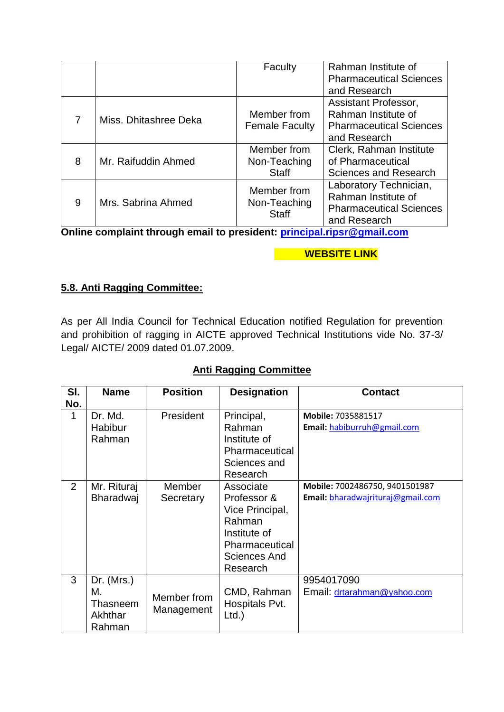|   |                       | Faculty                                     | Rahman Institute of<br><b>Pharmaceutical Sciences</b><br>and Research                           |
|---|-----------------------|---------------------------------------------|-------------------------------------------------------------------------------------------------|
| 7 | Miss. Dhitashree Deka | Member from<br><b>Female Faculty</b>        | Assistant Professor,<br>Rahman Institute of<br><b>Pharmaceutical Sciences</b><br>and Research   |
| 8 | Mr. Raifuddin Ahmed   | Member from<br>Non-Teaching<br><b>Staff</b> | Clerk, Rahman Institute<br>of Pharmaceutical<br><b>Sciences and Research</b>                    |
| 9 | Mrs. Sabrina Ahmed    | Member from<br>Non-Teaching<br><b>Staff</b> | Laboratory Technician,<br>Rahman Institute of<br><b>Pharmaceutical Sciences</b><br>and Research |

**Online complaint through email to president: [principal.ripsr@gmail.com](mailto:principal.ripsr@gmail.com)**

# **WEBSITE LINK**

# **5.8. Anti Ragging Committee:**

As per All India Council for Technical Education notified Regulation for prevention and prohibition of ragging in AICTE approved Technical Institutions vide No. 37-3/ Legal/ AICTE/ 2009 dated 01.07.2009.

# **Anti Ragging Committee**

| SI.<br>No. | <b>Name</b>                                         | <b>Position</b>           | <b>Designation</b>                                                                                                  | <b>Contact</b>                                                      |
|------------|-----------------------------------------------------|---------------------------|---------------------------------------------------------------------------------------------------------------------|---------------------------------------------------------------------|
| 1          | Dr. Md.<br><b>Habibur</b><br>Rahman                 | President                 | Principal,<br>Rahman<br>Institute of<br>Pharmaceutical<br>Sciences and<br>Research                                  | Mobile: 7035881517<br>Email: habiburruh@gmail.com                   |
| 2          | Mr. Rituraj<br>Bharadwaj                            | Member<br>Secretary       | Associate<br>Professor &<br>Vice Principal,<br>Rahman<br>Institute of<br>Pharmaceutical<br>Sciences And<br>Research | Mobile: 7002486750, 9401501987<br>Email: bharadwajrituraj@gmail.com |
| 3          | Dr. $(Mrs.)$<br>М.<br>Thasneem<br>Akhthar<br>Rahman | Member from<br>Management | CMD, Rahman<br>Hospitals Pvt.<br>Ltd.                                                                               | 9954017090<br>Email: drtarahman@yahoo.com                           |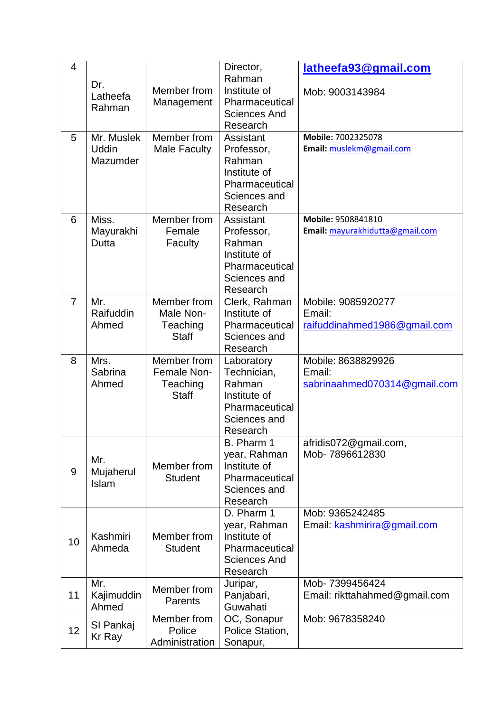| 4              |                                        |                                                        | Director,                                                                                         | latheefa93@gmail.com                                         |
|----------------|----------------------------------------|--------------------------------------------------------|---------------------------------------------------------------------------------------------------|--------------------------------------------------------------|
|                | Dr.<br>Latheefa<br>Rahman              | Member from<br>Management                              | Rahman<br>Institute of<br>Pharmaceutical<br>Sciences And<br>Research                              | Mob: 9003143984                                              |
| 5              | Mr. Muslek<br><b>Uddin</b><br>Mazumder | Member from<br><b>Male Faculty</b>                     | Assistant<br>Professor,<br>Rahman<br>Institute of<br>Pharmaceutical<br>Sciences and<br>Research   | Mobile: 7002325078<br>Email: muslekm@gmail.com               |
| 6              | Miss.<br>Mayurakhi<br>Dutta            | Member from<br>Female<br>Faculty                       | Assistant<br>Professor,<br>Rahman<br>Institute of<br>Pharmaceutical<br>Sciences and<br>Research   | Mobile: 9508841810<br>Email: mayurakhidutta@gmail.com        |
| $\overline{7}$ | Mr.<br>Raifuddin<br>Ahmed              | Member from<br>Male Non-<br>Teaching<br><b>Staff</b>   | Clerk, Rahman<br>Institute of<br>Pharmaceutical<br>Sciences and<br>Research                       | Mobile: 9085920277<br>Email:<br>raifuddinahmed1986@gmail.com |
| 8              | Mrs.<br>Sabrina<br>Ahmed               | Member from<br>Female Non-<br>Teaching<br><b>Staff</b> | Laboratory<br>Technician,<br>Rahman<br>Institute of<br>Pharmaceutical<br>Sciences and<br>Research | Mobile: 8638829926<br>Email:<br>sabrinaahmed070314@gmail.com |
| 9              | Mr.<br>Mujaherul<br>Islam              | Member from<br><b>Student</b>                          | B. Pharm 1<br>year, Rahman<br>Institute of<br>Pharmaceutical<br>Sciences and<br>Research          | afridis072@gmail.com,<br>Mob-7896612830                      |
| 10             | Kashmiri<br>Ahmeda                     | Member from<br><b>Student</b>                          | D. Pharm 1<br>year, Rahman<br>Institute of<br>Pharmaceutical<br><b>Sciences And</b><br>Research   | Mob: 9365242485<br>Email: kashmirira@gmail.com               |
| 11             | Mr.                                    | Member from                                            | Juripar,<br>Panjabari,                                                                            | Mob- 7399456424<br>Email: rikttahahmed@gmail.com             |
|                | Kajimuddin<br>Ahmed                    | <b>Parents</b><br>Member from                          | Guwahati<br>OC, Sonapur                                                                           | Mob: 9678358240                                              |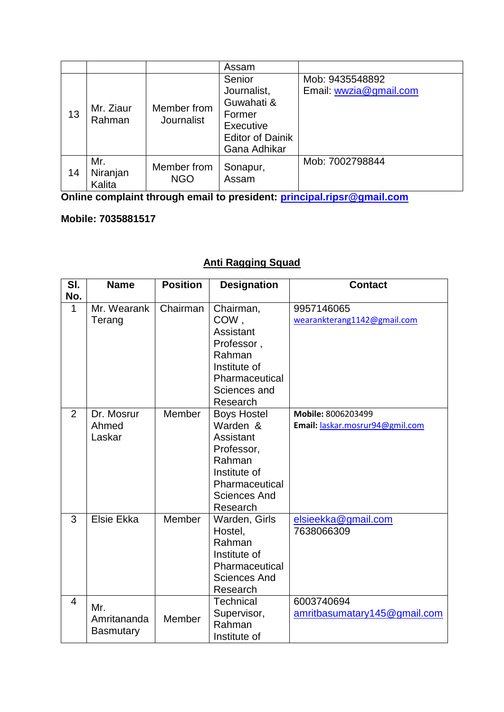|    |                           |                           | Assam                                                                                                 |                                           |
|----|---------------------------|---------------------------|-------------------------------------------------------------------------------------------------------|-------------------------------------------|
| 13 | Mr. Ziaur<br>Rahman       | Member from<br>Journalist | Senior<br>Journalist,<br>Guwahati &<br>Former<br>Executive<br><b>Editor of Dainik</b><br>Gana Adhikar | Mob: 9435548892<br>Email: wwzia@gmail.com |
| 14 | Mr.<br>Niranjan<br>Kalita | Member from<br><b>NGO</b> | Sonapur,<br>Assam                                                                                     | Mob: 7002798844                           |

**Online complaint through email to president: [principal.ripsr@gmail.com](mailto:principal.ripsr@gmail.com)**

# **Mobile: 7035881517**

# **Anti Ragging Squad**

| SI.<br>No.     | <b>Name</b>                            | <b>Position</b> | <b>Designation</b>                                                                                                                       | <b>Contact</b>                                        |
|----------------|----------------------------------------|-----------------|------------------------------------------------------------------------------------------------------------------------------------------|-------------------------------------------------------|
| 1              | Mr. Wearank<br>Terang                  | Chairman        | Chairman,<br>COW,<br>Assistant<br>Professor,<br>Rahman<br>Institute of<br>Pharmaceutical<br>Sciences and<br>Research                     | 9957146065<br>wearankterang1142@gmail.com             |
| $\overline{2}$ | Dr. Mosrur<br>Ahmed<br>Laskar          | Member          | <b>Boys Hostel</b><br>Warden &<br>Assistant<br>Professor,<br>Rahman<br>Institute of<br>Pharmaceutical<br><b>Sciences And</b><br>Research | Mobile: 8006203499<br>Email: laskar.mosrur94@gmil.com |
| 3              | Elsie Ekka                             | Member          | Warden, Girls<br>Hostel,<br>Rahman<br>Institute of<br>Pharmaceutical<br><b>Sciences And</b><br>Research                                  | elsieekka@gmail.com<br>7638066309                     |
| $\overline{4}$ | Mr.<br>Amritananda<br><b>Basmutary</b> | Member          | <b>Technical</b><br>Supervisor,<br>Rahman<br>Institute of                                                                                | 6003740694<br>amritbasumatary145@gmail.com            |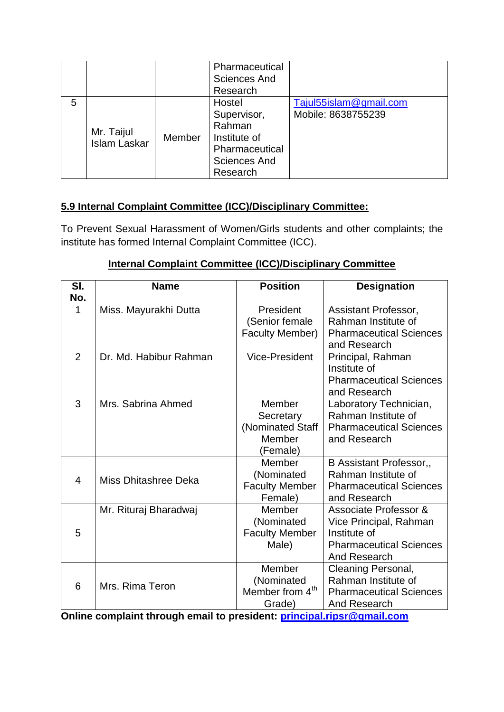|   |                                   |        | Pharmaceutical      |                        |
|---|-----------------------------------|--------|---------------------|------------------------|
|   |                                   |        | <b>Sciences And</b> |                        |
|   |                                   |        | Research            |                        |
| 5 |                                   |        | Hostel              | Tajul55islam@gmail.com |
|   |                                   |        | Supervisor,         | Mobile: 8638755239     |
|   |                                   |        | Rahman              |                        |
|   | Mr. Taijul<br><b>Islam Laskar</b> | Member | Institute of        |                        |
|   |                                   |        | Pharmaceutical      |                        |
|   |                                   |        | <b>Sciences And</b> |                        |
|   |                                   |        | Research            |                        |

# **5.9 Internal Complaint Committee (ICC)/Disciplinary Committee:**

To Prevent Sexual Harassment of Women/Girls students and other complaints; the institute has formed Internal Complaint Committee (ICC).

# **Internal Complaint Committee (ICC)/Disciplinary Committee**

| SI.<br>No.     | <b>Name</b>            | <b>Position</b>                                               | <b>Designation</b>                                                                                                |
|----------------|------------------------|---------------------------------------------------------------|-------------------------------------------------------------------------------------------------------------------|
| 1              | Miss. Mayurakhi Dutta  | President<br>(Senior female<br><b>Faculty Member)</b>         | Assistant Professor,<br>Rahman Institute of<br><b>Pharmaceutical Sciences</b><br>and Research                     |
| 2              | Dr. Md. Habibur Rahman | Vice-President                                                | Principal, Rahman<br>Institute of<br><b>Pharmaceutical Sciences</b><br>and Research                               |
| 3              | Mrs. Sabrina Ahmed     | Member<br>Secretary<br>(Nominated Staff<br>Member<br>(Female) | Laboratory Technician,<br>Rahman Institute of<br><b>Pharmaceutical Sciences</b><br>and Research                   |
| $\overline{4}$ | Miss Dhitashree Deka   | Member<br>(Nominated<br><b>Faculty Member</b><br>Female)      | <b>B Assistant Professor,,</b><br>Rahman Institute of<br><b>Pharmaceutical Sciences</b><br>and Research           |
| 5              | Mr. Rituraj Bharadwaj  | Member<br>(Nominated<br><b>Faculty Member</b><br>Male)        | Associate Professor &<br>Vice Principal, Rahman<br>Institute of<br><b>Pharmaceutical Sciences</b><br>And Research |
| 6              | Mrs. Rima Teron        | Member<br>(Nominated<br>Member from 4 <sup>th</sup><br>Grade) | Cleaning Personal,<br>Rahman Institute of<br><b>Pharmaceutical Sciences</b><br>And Research                       |

**Online complaint through email to president: [principal.ripsr@gmail.com](mailto:principal.ripsr@gmail.com)**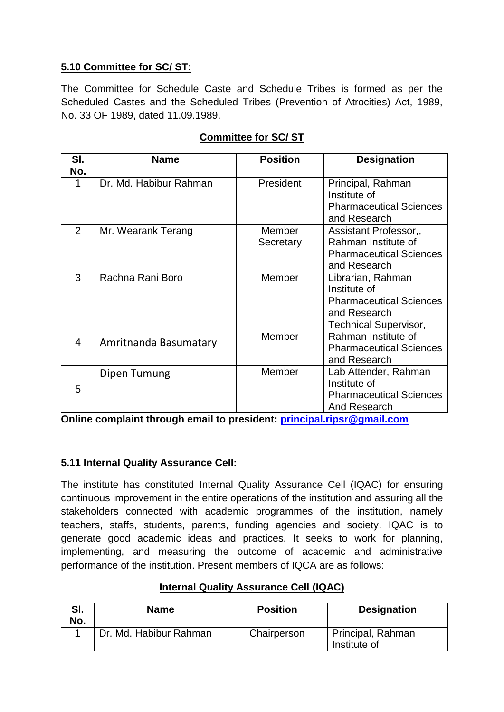# **5.10 Committee for SC/ ST:**

The Committee for Schedule Caste and Schedule Tribes is formed as per the Scheduled Castes and the Scheduled Tribes (Prevention of Atrocities) Act, 1989, No. 33 OF 1989, dated 11.09.1989.

| SI.<br>No. | <b>Name</b>            | <b>Position</b>     | <b>Designation</b>                                                                                    |
|------------|------------------------|---------------------|-------------------------------------------------------------------------------------------------------|
| 1          | Dr. Md. Habibur Rahman | President           | Principal, Rahman<br>Institute of<br><b>Pharmaceutical Sciences</b><br>and Research                   |
| 2          | Mr. Wearank Terang     | Member<br>Secretary | Assistant Professor,,<br>Rahman Institute of<br><b>Pharmaceutical Sciences</b><br>and Research        |
| 3          | Rachna Rani Boro       | Member              | Librarian, Rahman<br>Institute of<br><b>Pharmaceutical Sciences</b><br>and Research                   |
| 4          | Amritnanda Basumatary  | Member              | <b>Technical Supervisor,</b><br>Rahman Institute of<br><b>Pharmaceutical Sciences</b><br>and Research |
| 5          | Dipen Tumung           | Member              | Lab Attender, Rahman<br>Institute of<br><b>Pharmaceutical Sciences</b><br>And Research                |

# **Committee for SC/ ST**

**Online complaint through email to president: [principal.ripsr@gmail.com](mailto:principal.ripsr@gmail.com)**

# **5.11 Internal Quality Assurance Cell:**

The institute has constituted Internal Quality Assurance Cell (IQAC) for ensuring continuous improvement in the entire operations of the institution and assuring all the stakeholders connected with academic programmes of the institution, namely teachers, staffs, students, parents, funding agencies and society. IQAC is to generate good academic ideas and practices. It seeks to work for planning, implementing, and measuring the outcome of academic and administrative performance of the institution. Present members of IQCA are as follows:

| SI.<br>No. | Name                   | <b>Position</b> | <b>Designation</b>                |
|------------|------------------------|-----------------|-----------------------------------|
|            | Dr. Md. Habibur Rahman | Chairperson     | Principal, Rahman<br>Institute of |

# **Internal Quality Assurance Cell (IQAC)**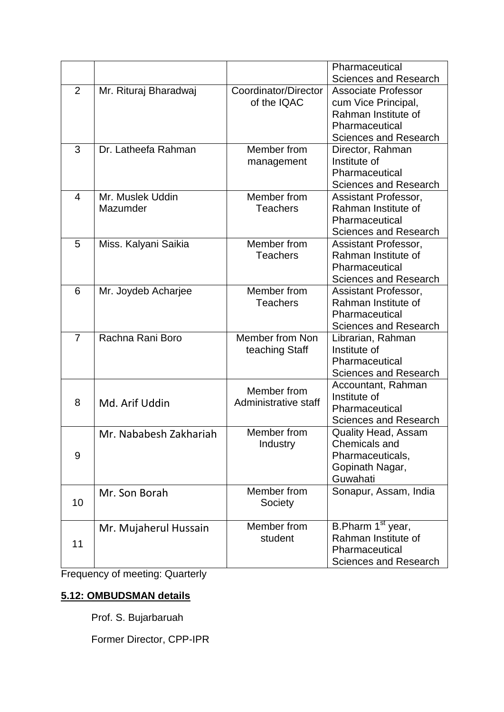|                |                        |                      | Pharmaceutical                              |
|----------------|------------------------|----------------------|---------------------------------------------|
|                |                        |                      | Sciences and Research                       |
| 2              | Mr. Rituraj Bharadwaj  | Coordinator/Director | <b>Associate Professor</b>                  |
|                |                        | of the IQAC          | cum Vice Principal,                         |
|                |                        |                      | Rahman Institute of                         |
|                |                        |                      | Pharmaceutical                              |
|                |                        |                      | <b>Sciences and Research</b>                |
| 3              | Dr. Latheefa Rahman    | Member from          | Director, Rahman                            |
|                |                        | management           | Institute of                                |
|                |                        |                      | Pharmaceutical                              |
|                |                        |                      | <b>Sciences and Research</b>                |
| $\overline{4}$ | Mr. Muslek Uddin       | Member from          | Assistant Professor,                        |
|                | Mazumder               | <b>Teachers</b>      | Rahman Institute of                         |
|                |                        |                      | Pharmaceutical                              |
|                |                        |                      | Sciences and Research                       |
| 5              | Miss. Kalyani Saikia   | Member from          | Assistant Professor,                        |
|                |                        | <b>Teachers</b>      | Rahman Institute of                         |
|                |                        |                      | Pharmaceutical                              |
|                |                        |                      | <b>Sciences and Research</b>                |
| 6              | Mr. Joydeb Acharjee    | Member from          | Assistant Professor,                        |
|                |                        | <b>Teachers</b>      | Rahman Institute of                         |
|                |                        |                      | Pharmaceutical                              |
|                |                        |                      | <b>Sciences and Research</b>                |
| $\overline{7}$ | Rachna Rani Boro       | Member from Non      | Librarian, Rahman                           |
|                |                        | teaching Staff       | Institute of                                |
|                |                        |                      | Pharmaceutical                              |
|                |                        |                      | <b>Sciences and Research</b>                |
|                |                        | Member from          | Accountant, Rahman                          |
| 8              | Md. Arif Uddin         | Administrative staff | Institute of                                |
|                |                        |                      | Pharmaceutical                              |
|                |                        | Member from          | <b>Sciences and Research</b>                |
|                | Mr. Nababesh Zakhariah |                      | <b>Quality Head, Assam</b><br>Chemicals and |
| 9              |                        | Industry             | Pharmaceuticals,                            |
|                |                        |                      | Gopinath Nagar,                             |
|                |                        |                      | Guwahati                                    |
|                |                        | Member from          | Sonapur, Assam, India                       |
| 10             | Mr. Son Borah          | Society              |                                             |
|                |                        |                      |                                             |
|                | Mr. Mujaherul Hussain  | Member from          | B.Pharm 1 <sup>st</sup> year,               |
|                |                        | student              | Rahman Institute of                         |
| 11             |                        |                      | Pharmaceutical                              |
|                |                        |                      | <b>Sciences and Research</b>                |

Frequency of meeting: Quarterly

# **5.12: OMBUDSMAN details**

Prof. S. Bujarbaruah

Former Director, CPP-IPR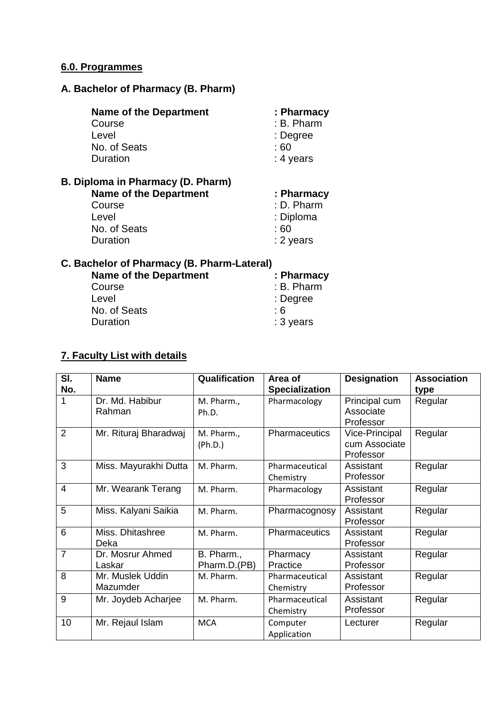# **6.0. Programmes**

# **A. Bachelor of Pharmacy (B. Pharm)**

| <b>Name of the Department</b>                                                                                     | : Pharmacy                                                 |
|-------------------------------------------------------------------------------------------------------------------|------------------------------------------------------------|
| Course                                                                                                            | : B. Pharm                                                 |
| Level                                                                                                             | : Degree                                                   |
| No. of Seats                                                                                                      | : 60                                                       |
| Duration                                                                                                          | : 4 years                                                  |
| B. Diploma in Pharmacy (D. Pharm)<br><b>Name of the Department</b><br>Course<br>Level<br>No. of Seats<br>Duration | : Pharmacy<br>: D. Pharm<br>: Diploma<br>: 60<br>: 2 years |

# **C. Bachelor of Pharmacy (B. Pharm-Lateral)**

| <b>Name of the Department</b> | : Pharmacy |
|-------------------------------|------------|
| Course                        | : B. Pharm |
| Level                         | : Degree   |
| No. of Seats                  | : 6        |
| Duration                      | : 3 years  |
|                               |            |

#### **7. Faculty List with details**

| SI.             | <b>Name</b>           | Qualification | Area of               | <b>Designation</b> | <b>Association</b> |
|-----------------|-----------------------|---------------|-----------------------|--------------------|--------------------|
| No.             |                       |               | <b>Specialization</b> |                    | type               |
| 1               | Dr. Md. Habibur       | M. Pharm.,    | Pharmacology          | Principal cum      | Regular            |
|                 | Rahman                | Ph.D.         |                       | Associate          |                    |
|                 |                       |               |                       | Professor          |                    |
| $\overline{2}$  | Mr. Rituraj Bharadwaj | M. Pharm.,    | Pharmaceutics         | Vice-Principal     | Regular            |
|                 |                       | (Ph.D.)       |                       | cum Associate      |                    |
|                 |                       |               |                       | Professor          |                    |
| 3               | Miss. Mayurakhi Dutta | M. Pharm.     | Pharmaceutical        | Assistant          | Regular            |
|                 |                       |               | Chemistry             | Professor          |                    |
| $\overline{4}$  | Mr. Wearank Terang    | M. Pharm.     | Pharmacology          | Assistant          | Regular            |
|                 |                       |               |                       | Professor          |                    |
| $\overline{5}$  | Miss. Kalyani Saikia  | M. Pharm.     | Pharmacognosy         | Assistant          | Regular            |
|                 |                       |               |                       | Professor          |                    |
| $6\phantom{1}6$ | Miss. Dhitashree      | M. Pharm.     | <b>Pharmaceutics</b>  | Assistant          | Regular            |
|                 | Deka                  |               |                       | Professor          |                    |
| $\overline{7}$  | Dr. Mosrur Ahmed      | B. Pharm.,    | Pharmacy              | Assistant          | Regular            |
|                 | Laskar                | Pharm.D.(PB)  | Practice              | Professor          |                    |
| 8               | Mr. Muslek Uddin      | M. Pharm.     | Pharmaceutical        | Assistant          | Regular            |
|                 | Mazumder              |               | Chemistry             | Professor          |                    |
| 9               | Mr. Joydeb Acharjee   | M. Pharm.     | Pharmaceutical        | Assistant          | Regular            |
|                 |                       |               | Chemistry             | Professor          |                    |
| 10              | Mr. Rejaul Islam      | <b>MCA</b>    | Computer              | Lecturer           | Regular            |
|                 |                       |               | Application           |                    |                    |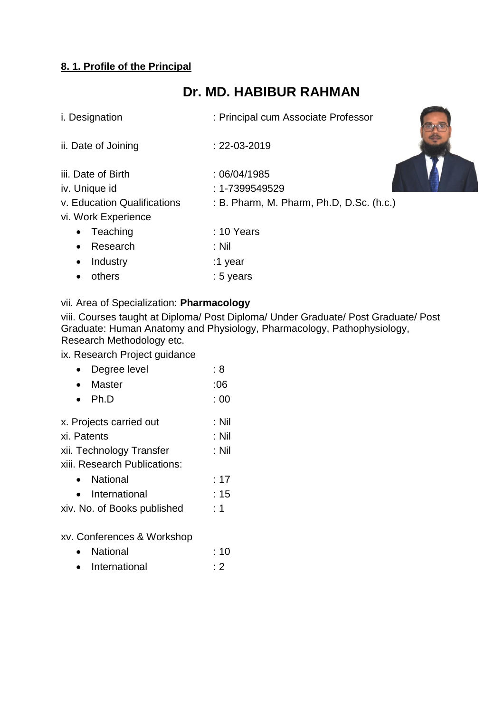# **8. 1. Profile of the Principal**

# **Dr. MD. HABIBUR RAHMAN**

| i. Designation              | : Principal cum Associate Professor      |
|-----------------------------|------------------------------------------|
| ii. Date of Joining         | $: 22 - 03 - 2019$                       |
| iii. Date of Birth          | :06/04/1985                              |
| iv. Unique id               | $: 1 - 7399549529$                       |
| v. Education Qualifications | : B. Pharm, M. Pharm, Ph.D, D.Sc. (h.c.) |
| vi. Work Experience         |                                          |
| Teaching<br>$\bullet$       | $: 10$ Years                             |
| Research<br>$\bullet$       | : Nil                                    |
| Industry<br>$\bullet$       | :1 year                                  |
| others                      | : 5 years                                |

# vii. Area of Specialization: **Pharmacology**

viii. Courses taught at Diploma/ Post Diploma/ Under Graduate/ Post Graduate/ Post Graduate: Human Anatomy and Physiology, Pharmacology, Pathophysiology, Research Methodology etc.

ix. Research Project guidance

| Degree level                 | : 8   |
|------------------------------|-------|
| Master                       | :06   |
| Ph.D                         | :00   |
| x. Projects carried out      | : Nil |
| xi. Patents                  | : Nil |
| xii. Technology Transfer     | : Nil |
| xiii. Research Publications: |       |
| National                     | : 17  |
| International                | : 15  |
| xiv. No. of Books published  | : 1   |
| xv. Conferences & Workshop   |       |
| National                     | : 10  |
| International                | : 2   |
|                              |       |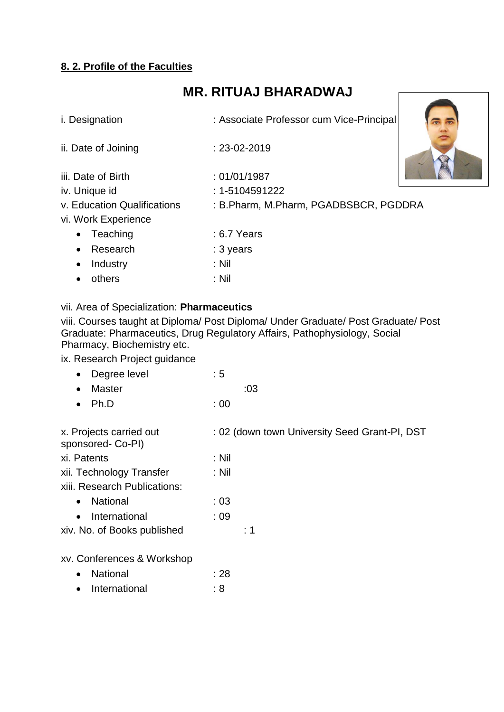# **8. 2. Profile of the Faculties**

# **MR. RITUAJ BHARADWAJ**

| i. Designation              | : Associate Professor cum Vice-Principal |  |
|-----------------------------|------------------------------------------|--|
| ii. Date of Joining         | $: 23 - 02 - 2019$                       |  |
| iii. Date of Birth          | :01/01/1987                              |  |
| iv. Unique id               | $: 1 - 5104591222$                       |  |
| v. Education Qualifications | : B.Pharm, M.Pharm, PGADBSBCR, PGDDRA    |  |
| vi. Work Experience         |                                          |  |
| Teaching<br>$\bullet$       | $: 6.7$ Years                            |  |
| Research<br>$\bullet$       | : 3 years                                |  |
| Industry<br>$\bullet$       | $:$ Nil                                  |  |
| others                      | $:$ Nil                                  |  |
|                             |                                          |  |

#### vii. Area of Specialization: **Pharmaceutics**

viii. Courses taught at Diploma/ Post Diploma/ Under Graduate/ Post Graduate/ Post Graduate: Pharmaceutics, Drug Regulatory Affairs, Pathophysiology, Social Pharmacy, Biochemistry etc.

# ix. Research Project guidance

| Degree level | :5 |
|--------------|----|
|--------------|----|

| • Master       |      | :03 |
|----------------|------|-----|
| $\bullet$ Ph.D | : 00 |     |

| x. Projects carried out<br>sponsored- Co-PI) | : 02 (down town University Seed Grant-PI, DST |
|----------------------------------------------|-----------------------------------------------|
| xi. Patents                                  | : Nil                                         |
| xii. Technology Transfer                     | : Nil                                         |
| xiii. Research Publications:                 |                                               |
| <b>National</b><br>$\bullet$                 | : 03                                          |
| International<br>$\bullet$                   | :09                                           |
| xiv. No. of Books published                  | :1                                            |
|                                              |                                               |

#### xv. Conferences & Workshop

| $\bullet$ | <b>National</b> | : 28 |
|-----------|-----------------|------|
| $\bullet$ | International   | : 8  |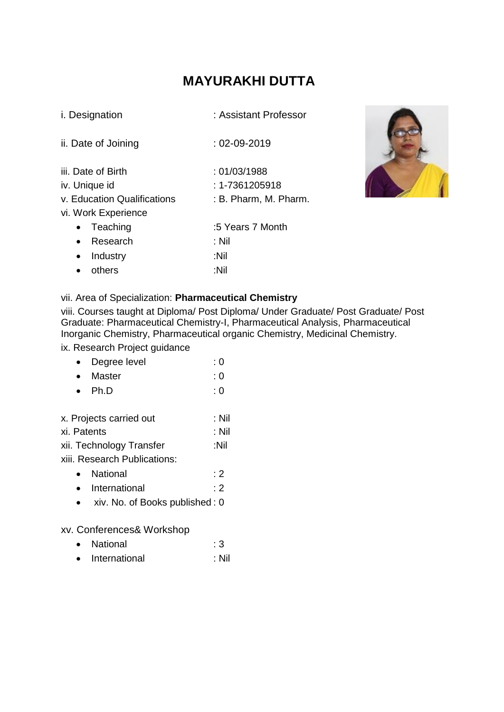# **MAYURAKHI DUTTA**

| <i>i.</i> Designation       | : Assistant Professor |  |
|-----------------------------|-----------------------|--|
| ii. Date of Joining         | : 02-09-2019          |  |
| iii. Date of Birth          | :01/03/1988           |  |
| iv. Unique id               | : 1-7361205918        |  |
| v. Education Qualifications | : B. Pharm, M. Pharm. |  |
| vi. Work Experience         |                       |  |
| Teaching                    | :5 Years 7 Month      |  |
| Research<br>$\bullet$       | : Nil                 |  |
| Industry                    | :Nil                  |  |
| others                      | :Nil                  |  |



#### vii. Area of Specialization: **Pharmaceutical Chemistry**

viii. Courses taught at Diploma/ Post Diploma/ Under Graduate/ Post Graduate/ Post Graduate: Pharmaceutical Chemistry-I, Pharmaceutical Analysis, Pharmaceutical Inorganic Chemistry, Pharmaceutical organic Chemistry, Medicinal Chemistry.

ix. Research Project guidance

|  | Degree level | : 0 |
|--|--------------|-----|
|--|--------------|-----|

| <b>Master</b> | : 0 |
|---------------|-----|
|               |     |

- $\bullet$  Ph.D : 0
- x. Projects carried out : Nil
- xi. Patents : Nil
- xii. Technology Transfer :Nil
- xiii. Research Publications:
	- National : 2
	- International : 2
	- xiv. No. of Books published : 0

xv. Conferences& Workshop

- National : 3
- International : Nil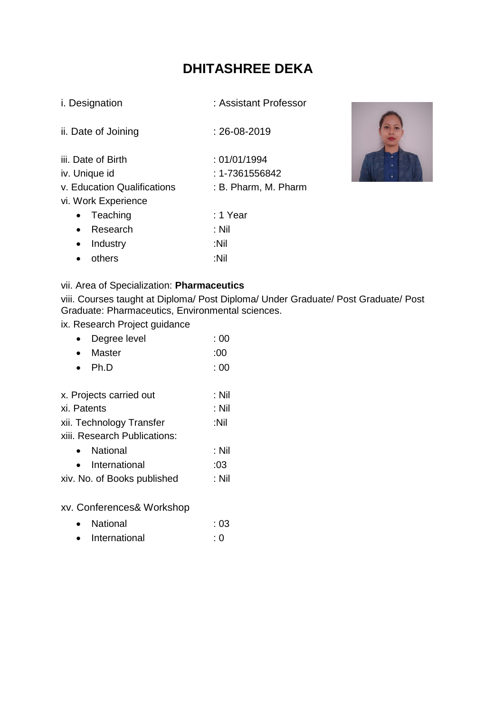# **DHITASHREE DEKA**

| i. Designation |
|----------------|
|----------------|

: Assistant Professor

| ii. Date of Joining | $: 26 - 08 - 2019$ |
|---------------------|--------------------|
| iii. Date of Birth  | :01/01/1994        |
| iv. Unique id       | : 1-7361556842     |
|                     | .                  |

- v. Education Qualifications : B. Pharm, M. Pharm
- vi. Work Experience

|           | • Teaching         | : 1 Year |
|-----------|--------------------|----------|
|           | • Research         | :Nil     |
|           | $\bullet$ Industry | ∶Nil     |
| $\bullet$ | others             | ∶Nil     |



# vii. Area of Specialization: **Pharmaceutics**

viii. Courses taught at Diploma/ Post Diploma/ Under Graduate/ Post Graduate/ Post Graduate: Pharmaceutics, Environmental sciences.

ix. Research Project guidance

| Degree level                 | : 00  |
|------------------------------|-------|
| <b>Master</b>                | :00   |
| Ph.D                         | :00   |
|                              |       |
| x. Projects carried out      | : Nil |
| xi. Patents                  | : Nil |
| xii. Technology Transfer     | :Nil  |
| xiii. Research Publications: |       |
| National                     | : Nil |
| International                | :03   |
| xiv. No. of Books published  | : Nil |
|                              |       |

xv. Conferences& Workshop

| National | : 03 |
|----------|------|
|          |      |

• International : 0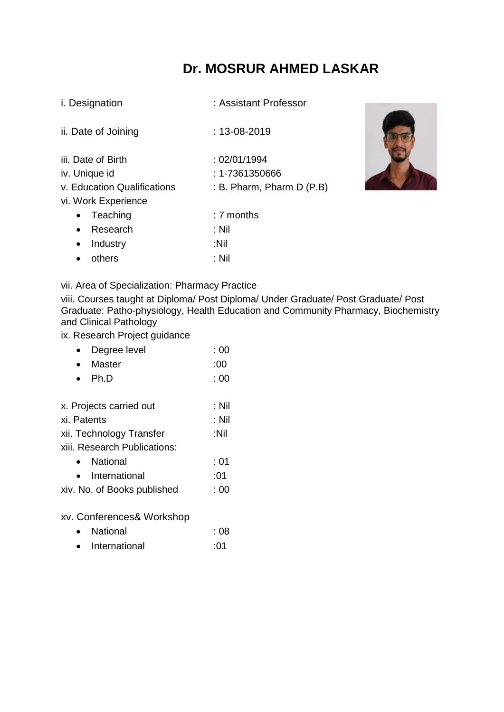# **Dr. MOSRUR AHMED LASKAR**

: Assistant Professor

| ii. Date of Joining | $: 13 - 08 - 2019$ |
|---------------------|--------------------|
|                     |                    |

- iii. Date of Birth : 02/01/1994
- iv. Unique id : 1-7361350666
- v. Education Qualifications : B. Pharm, Pharm D (P.B)
- vi. Work Experience

|           | • Teaching         | : 7 months |
|-----------|--------------------|------------|
|           | • Research         | ∴ Nil      |
|           | $\bullet$ Industry | ∶Nil       |
| $\bullet$ | others             | ∴ Nil      |



#### vii. Area of Specialization: Pharmacy Practice

viii. Courses taught at Diploma/ Post Diploma/ Under Graduate/ Post Graduate/ Post Graduate: Patho-physiology, Health Education and Community Pharmacy, Biochemistry and Clinical Pathology

#### ix. Research Project guidance

| Degree level                 | : 00    |
|------------------------------|---------|
| Master                       | :00     |
| Ph.D                         | :00     |
|                              |         |
| x. Projects carried out      | : Nil   |
| xi. Patents                  | $:$ Nil |
| xii. Technology Transfer     | :Nil    |
| xiii. Research Publications: |         |
| National                     | : 01    |
| International                | :01     |
| xiv. No. of Books published  | : 00    |
|                              |         |
|                              |         |

xv. Conferences& Workshop

| $\bullet$ | National      | : 08 |
|-----------|---------------|------|
| $\bullet$ | International | :01  |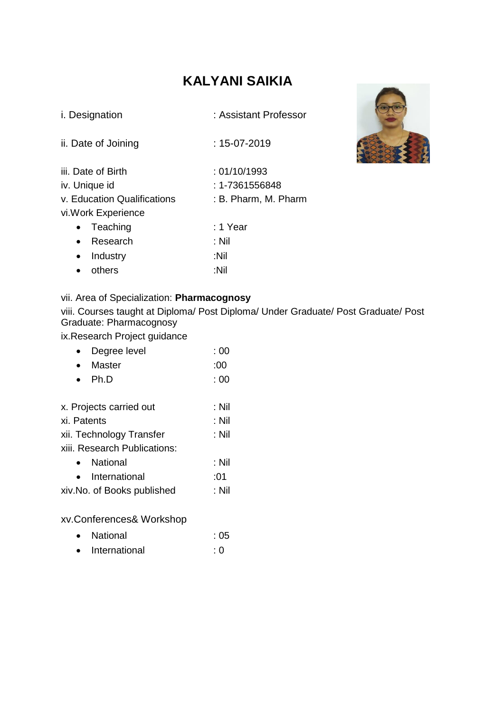# **KALYANI SAIKIA**

| <i>i.</i> Designation       | : Assistant Professor |
|-----------------------------|-----------------------|
| ii. Date of Joining         | : 15-07-2019          |
| iii. Date of Birth          | :01/10/1993           |
| iv. Unique id               | : 1-7361556848        |
| v. Education Qualifications | : B. Pharm, M. Pharm  |
| vi. Work Experience         |                       |
| Teaching                    | : 1 Year              |
| Research<br>$\bullet$       | : Nil                 |
| Industry                    | :Nil                  |



vii. Area of Specialization: **Pharmacognosy**

others :Nil

viii. Courses taught at Diploma/ Post Diploma/ Under Graduate/ Post Graduate/ Post Graduate: Pharmacognosy

ix.Research Project guidance

| Degree level                 | :00   |
|------------------------------|-------|
| Master                       | :00   |
| Ph.D                         | :00   |
|                              |       |
| x. Projects carried out      | : Nil |
| xi. Patents                  | : Nil |
| xii. Technology Transfer     | : Nil |
| xiii. Research Publications: |       |
| National                     | : Nil |
| International                | :01   |
| xiv.No. of Books published   | : Nil |
|                              |       |

xv.Conferences& Workshop

| $\bullet$ | <b>National</b> | :05 |
|-----------|-----------------|-----|
| $\bullet$ | International   | : 0 |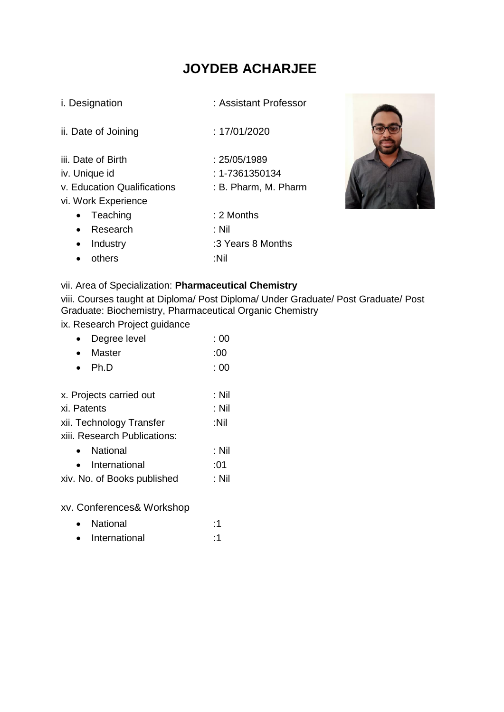# **JOYDEB ACHARJEE**

| <i>i.</i> Designation                                                                                                                       | : Assistant Professor                                                                 |
|---------------------------------------------------------------------------------------------------------------------------------------------|---------------------------------------------------------------------------------------|
| ii. Date of Joining                                                                                                                         | : 17/01/2020                                                                          |
| iii. Date of Birth<br>iv. Unique id<br>v. Education Qualifications<br>vi. Work Experience<br>Teaching<br>$\bullet$<br>Research<br>$\bullet$ | : 25/05/1989<br>$: 1 - 7361350134$<br>: B. Pharm, M. Pharm<br>$: 2$ Months<br>$:$ Nil |
| Industry<br>$\bullet$<br>others                                                                                                             | :3 Years 8 Months<br>:Nil                                                             |



# vii. Area of Specialization: **Pharmaceutical Chemistry**

viii. Courses taught at Diploma/ Post Diploma/ Under Graduate/ Post Graduate/ Post Graduate: Biochemistry, Pharmaceutical Organic Chemistry

# ix. Research Project guidance

| Degree level                 | :00   |
|------------------------------|-------|
| <b>Master</b>                | :00   |
| Ph.D                         | :00   |
|                              |       |
| x. Projects carried out      | : Nil |
| xi. Patents                  | : Nil |
| xii. Technology Transfer     | :Nil  |
| xiii. Research Publications: |       |
| <b>National</b>              | : Nil |
| International                | :01   |
| xiv. No. of Books published  | : Nil |
|                              |       |

xv. Conferences& Workshop

- National :1
- International :1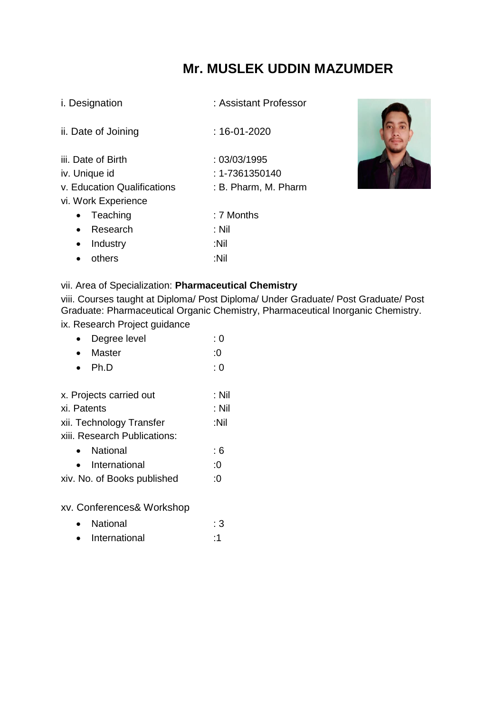# **Mr. MUSLEK UDDIN MAZUMDER**

| i. Designation |
|----------------|
|----------------|

: Assistant Professor

| ii. Date of Joining                                | $: 16 - 01 - 2020$            |
|----------------------------------------------------|-------------------------------|
| iii. Date of Birth<br>iv. Unique id                | :03/03/1995<br>: 1-7361350140 |
| v. Education Qualifications<br>vi. Work Experience | : B. Pharm, M. Pharm          |
| Teaching                                           | : 7 Months                    |
| Research<br>$\bullet$                              | : Nil                         |
| Industry<br>$\bullet$                              | :Nil                          |
| others                                             | :Nil                          |
|                                                    |                               |



# vii. Area of Specialization: **Pharmaceutical Chemistry**

viii. Courses taught at Diploma/ Post Diploma/ Under Graduate/ Post Graduate/ Post Graduate: Pharmaceutical Organic Chemistry, Pharmaceutical Inorganic Chemistry.

# ix. Research Project guidance

| Degree level                 | : 0   |
|------------------------------|-------|
| <b>Master</b>                | :0    |
| Ph.D                         | : 0   |
|                              |       |
| x. Projects carried out      | : Nil |
| xi. Patents                  | : Nil |
| xii. Technology Transfer     | :Nil  |
| xiii. Research Publications: |       |
| National                     | : 6   |
| International                | :0    |
| xiv. No. of Books published  | :0    |
|                              |       |

xv. Conferences& Workshop

- National : 3
- International :1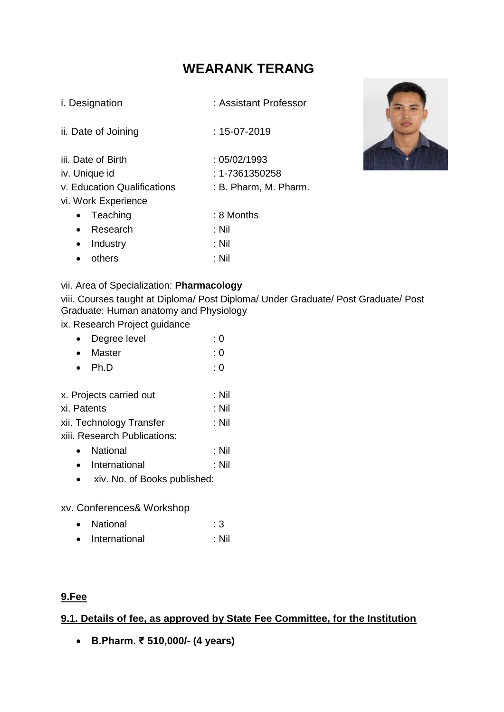# **WEARANK TERANG**

| i. Designation |  |
|----------------|--|
|----------------|--|

: Assistant Professor

ii. Date of Joining : 15-07-2019

- iii. Date of Birth  $\cdot$  05/02/1993
- iv. Unique id : 1-7361350258
- v. Education Qualifications : B. Pharm, M. Pharm.
- vi. Work Experience

| • Teaching         | : 8 Months |
|--------------------|------------|
| • Research         | : Nil      |
| $\bullet$ Industry | : Nil      |
| • others           | ∴ Nil      |



#### vii. Area of Specialization: **Pharmacology**

viii. Courses taught at Diploma/ Post Diploma/ Under Graduate/ Post Graduate/ Post Graduate: Human anatomy and Physiology

ix. Research Project guidance

| Degree level                 | : 0   |
|------------------------------|-------|
| <b>Master</b>                | : 0   |
| Ph.D                         | : 0   |
|                              |       |
| x. Projects carried out      | : Nil |
| xi. Patents                  | : Nil |
| xii. Technology Transfer     | : Nil |
| xiii. Research Publications: |       |
| National                     | : Nil |
| International                | : Nil |
| xiv. No. of Books published: |       |
|                              |       |

xv. Conferences& Workshop

- National : 3
- International : Nil

# **9.Fee**

# **9.1. Details of fee, as approved by State Fee Committee, for the Institution**

**B.Pharm. ₹ 510,000/- (4 years)**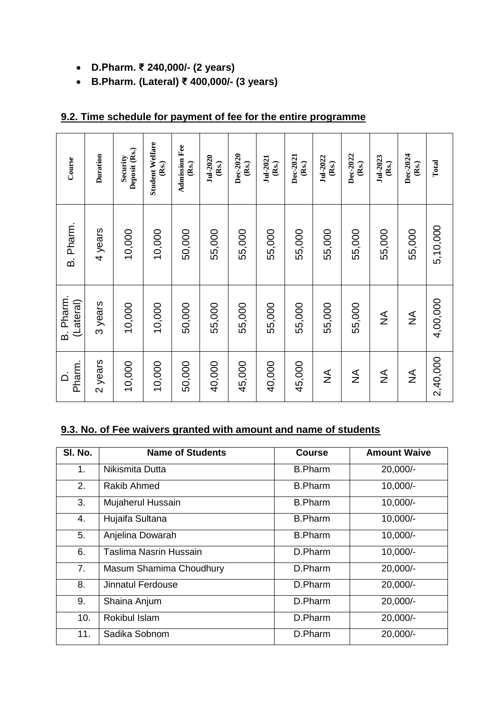- **D.Pharm. ₹ 240,000/- (2 years)**
- **B.Pharm. (Lateral) ₹ 400,000/- (3 years)**

| Course                 | Duration | Deposit (Rs.)<br>Security | <b>Student Welfare</b><br>(Rs.) | <b>Admission Fee</b><br>(Rs.) | Jul-2020<br>(Rs.) | Dec-2020<br>(Rs.) | Jul-2021<br>(Rs.) | Dec-2021<br>(Rs.) | Jul-2022<br>(Rs.) | Dec-2022<br>(Rs.) | Jul-2023<br>(Rs.) | Dec-2024<br>(Rs.) | Total    |
|------------------------|----------|---------------------------|---------------------------------|-------------------------------|-------------------|-------------------|-------------------|-------------------|-------------------|-------------------|-------------------|-------------------|----------|
| B. Pharm.              | 4 years  | 10,000                    | 10,000                          | 50,000                        | 55,000            | 55,000            | 55,000            | 55,000            | 55,000            | 55,000            | 55,000            | 55,000            | 5,10,000 |
| B. Pharm.<br>(Lateral) | 3 years  | 10,000                    | 10,000                          | 50,000                        | 55,000            | 55,000            | 55,000            | 55,000            | 55,000            | 55,000            | $\frac{1}{2}$     | $\lessgtr$        | 4,00,000 |
| Pharm.<br>⊂            | 2 years  | 10,000                    | 10,000                          | 50,000                        | 40,000            | 45,000            | 40,000            | 45,000            | $\frac{1}{2}$     | $\frac{1}{2}$     | $\frac{4}{2}$     | $\frac{1}{2}$     | 2,40,000 |

# **9.2. Time schedule for payment of fee for the entire programme**

# **9.3. No. of Fee waivers granted with amount and name of students**

| SI. No. | <b>Name of Students</b> | <b>Course</b>  | <b>Amount Waive</b> |
|---------|-------------------------|----------------|---------------------|
| 1.      | Nikismita Dutta         | <b>B.Pharm</b> | 20,000/-            |
| 2.      | Rakib Ahmed             | <b>B.Pharm</b> | 10,000/-            |
| 3.      | Mujaherul Hussain       | <b>B.Pharm</b> | 10,000/-            |
| 4.      | Hujaifa Sultana         | <b>B.Pharm</b> | 10,000/-            |
| 5.      | Anjelina Dowarah        | <b>B.Pharm</b> | 10,000/-            |
| 6.      | Taslima Nasrin Hussain  | D.Pharm        | 10,000/-            |
| 7.      | Masum Shamima Choudhury | D.Pharm        | 20,000/-            |
| 8.      | Jinnatul Ferdouse       | D.Pharm        | 20,000/-            |
| 9.      | Shaina Anjum            | D.Pharm        | 20,000/-            |
| 10.     | Rokibul Islam           | D.Pharm        | 20,000/-            |
| 11.     | Sadika Sobnom           | D.Pharm        | 20,000/-            |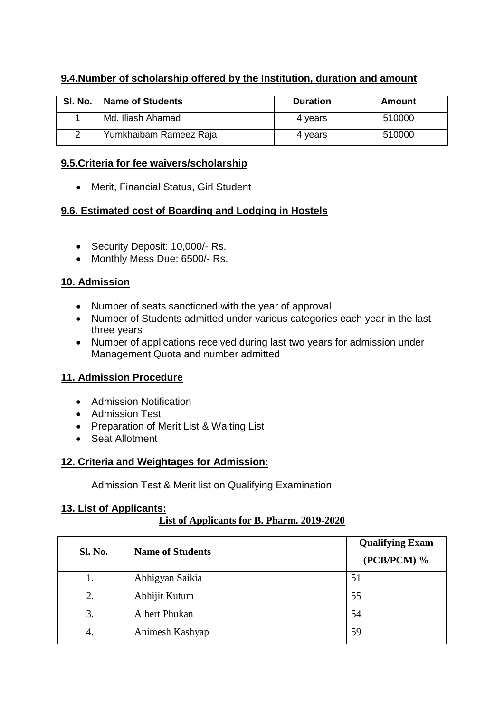# **9.4.Number of scholarship offered by the Institution, duration and amount**

| SI. No. | <b>Name of Students</b> | <b>Duration</b> | Amount |
|---------|-------------------------|-----------------|--------|
|         | Md. Iliash Ahamad       | 4 vears         | 510000 |
|         | Yumkhaibam Rameez Raja  | 4 vears         | 510000 |

## **9.5.Criteria for fee waivers/scholarship**

• Merit, Financial Status, Girl Student

# **9.6. Estimated cost of Boarding and Lodging in Hostels**

- Security Deposit: 10,000/- Rs.
- Monthly Mess Due: 6500/- Rs.

# **10. Admission**

- Number of seats sanctioned with the year of approval
- Number of Students admitted under various categories each year in the last three years
- Number of applications received during last two years for admission under Management Quota and number admitted

# **11. Admission Procedure**

- Admission Notification
- Admission Test
- Preparation of Merit List & Waiting List
- Seat Allotment

# **12. Criteria and Weightages for Admission:**

Admission Test & Merit list on Qualifying Examination

# **13. List of Applicants:**

# **List of Applicants for B. Pharm. 2019-2020**

| <b>Sl. No.</b> | <b>Name of Students</b> | <b>Qualifying Exam</b><br>$(PCB/PCM)$ % |
|----------------|-------------------------|-----------------------------------------|
|                | Abhigyan Saikia         | 51                                      |
| 2.             | Abhijit Kutum           | 55                                      |
| 3.             | <b>Albert Phukan</b>    | 54                                      |
| 4.             | Animesh Kashyap         | 59                                      |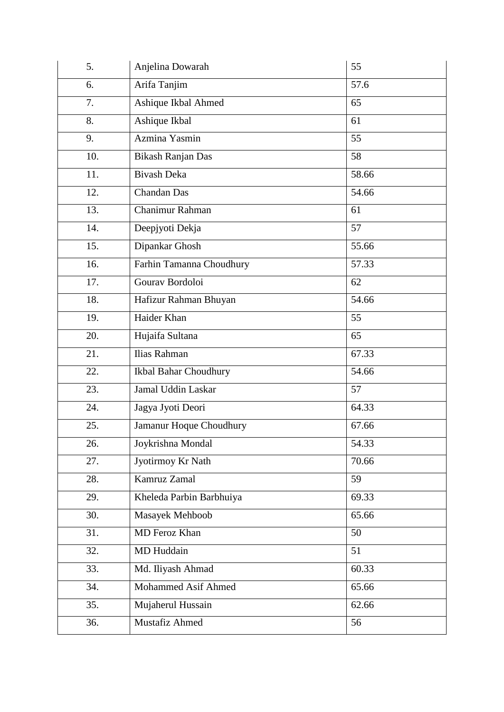| 5.  | Anjelina Dowarah         | 55    |
|-----|--------------------------|-------|
| 6.  | Arifa Tanjim             | 57.6  |
| 7.  | Ashique Ikbal Ahmed      | 65    |
| 8.  | Ashique Ikbal            | 61    |
| 9.  | Azmina Yasmin            | 55    |
| 10. | <b>Bikash Ranjan Das</b> | 58    |
| 11. | <b>Bivash Deka</b>       | 58.66 |
| 12. | <b>Chandan Das</b>       | 54.66 |
| 13. | Chanimur Rahman          | 61    |
| 14. | Deepjyoti Dekja          | 57    |
| 15. | Dipankar Ghosh           | 55.66 |
| 16. | Farhin Tamanna Choudhury | 57.33 |
| 17. | Gourav Bordoloi          | 62    |
| 18. | Hafizur Rahman Bhuyan    | 54.66 |
| 19. | Haider Khan              | 55    |
| 20. | Hujaifa Sultana          | 65    |
| 21. | Ilias Rahman             | 67.33 |
| 22. | Ikbal Bahar Choudhury    | 54.66 |
| 23. | Jamal Uddin Laskar       | 57    |
| 24. | Jagya Jyoti Deori        | 64.33 |
| 25. | Jamanur Hoque Choudhury  | 67.66 |
| 26. | Joykrishna Mondal        | 54.33 |
| 27. | Jyotirmoy Kr Nath        | 70.66 |
| 28. | Kamruz Zamal             | 59    |
| 29. | Kheleda Parbin Barbhuiya | 69.33 |
| 30. | Masayek Mehboob          | 65.66 |
| 31. | MD Feroz Khan            | 50    |
| 32. | MD Huddain               | 51    |
| 33. | Md. Iliyash Ahmad        | 60.33 |
| 34. | Mohammed Asif Ahmed      | 65.66 |
| 35. | Mujaherul Hussain        | 62.66 |
| 36. | Mustafiz Ahmed           | 56    |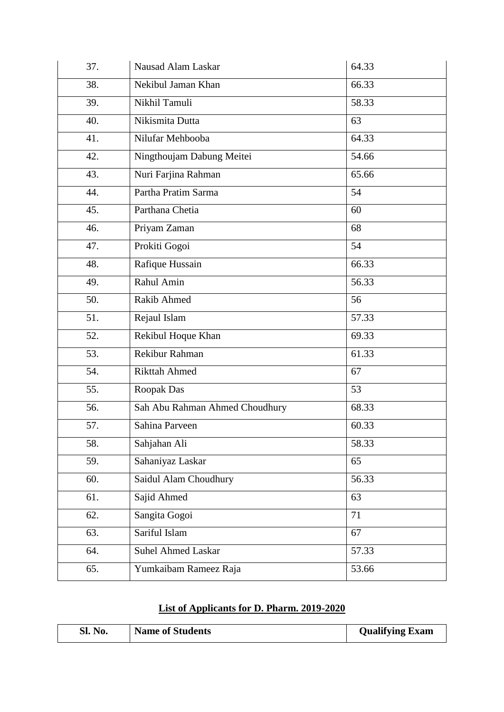| 37. | Nausad Alam Laskar             | 64.33 |
|-----|--------------------------------|-------|
| 38. | Nekibul Jaman Khan             | 66.33 |
| 39. | Nikhil Tamuli                  | 58.33 |
| 40. | Nikismita Dutta                | 63    |
| 41. | Nilufar Mehbooba               | 64.33 |
| 42. | Ningthoujam Dabung Meitei      | 54.66 |
| 43. | Nuri Farjina Rahman            | 65.66 |
| 44. | Partha Pratim Sarma            | 54    |
| 45. | Parthana Chetia                | 60    |
| 46. | Priyam Zaman                   | 68    |
| 47. | Prokiti Gogoi                  | 54    |
| 48. | Rafique Hussain                | 66.33 |
| 49. | Rahul Amin                     | 56.33 |
| 50. | <b>Rakib Ahmed</b>             | 56    |
| 51. | Rejaul Islam                   | 57.33 |
| 52. | Rekibul Hoque Khan             | 69.33 |
| 53. | Rekibur Rahman                 | 61.33 |
| 54. | <b>Rikttah Ahmed</b>           | 67    |
| 55. | Roopak Das                     | 53    |
| 56. | Sah Abu Rahman Ahmed Choudhury | 68.33 |
| 57. | Sahina Parveen                 | 60.33 |
| 58. | Sahjahan Ali                   | 58.33 |
| 59. | Sahaniyaz Laskar               | 65    |
| 60. | Saidul Alam Choudhury          | 56.33 |
| 61. | Sajid Ahmed                    | 63    |
| 62. | Sangita Gogoi                  | 71    |
| 63. | Sariful Islam                  | 67    |
| 64. | <b>Suhel Ahmed Laskar</b>      | 57.33 |
| 65. | Yumkaibam Rameez Raja          | 53.66 |

# **List of Applicants for D. Pharm. 2019-2020**

| SI.<br>No. | <b>Name of Students</b> | <b>Qualifying Exam</b> |
|------------|-------------------------|------------------------|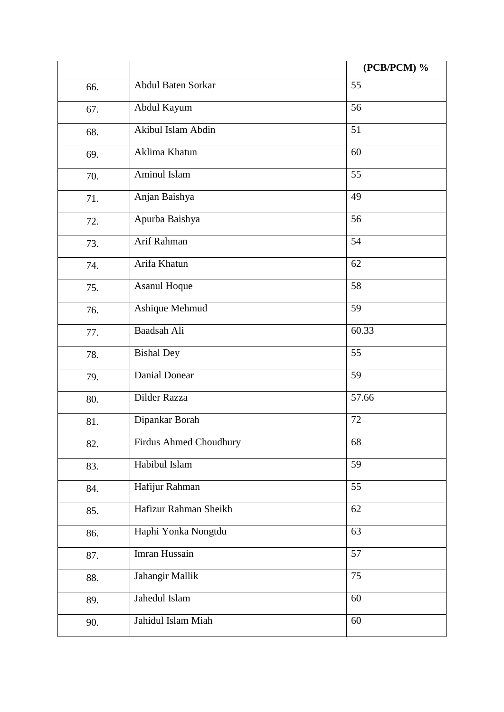|     |                        | (PCB/PCM) %     |
|-----|------------------------|-----------------|
| 66. | Abdul Baten Sorkar     | 55              |
| 67. | Abdul Kayum            | 56              |
| 68. | Akibul Islam Abdin     | 51              |
| 69. | Aklima Khatun          | 60              |
| 70. | Aminul Islam           | 55              |
| 71. | Anjan Baishya          | 49              |
| 72. | Apurba Baishya         | 56              |
| 73. | Arif Rahman            | 54              |
| 74. | Arifa Khatun           | 62              |
| 75. | Asanul Hoque           | 58              |
| 76. | Ashique Mehmud         | 59              |
| 77. | Baadsah Ali            | 60.33           |
| 78. | <b>Bishal Dey</b>      | 55              |
| 79. | <b>Danial Donear</b>   | 59              |
| 80. | Dilder Razza           | 57.66           |
| 81. | Dipankar Borah         | 72              |
| 82. | Firdus Ahmed Choudhury | 68              |
| 83. | Habibul Islam          | 59              |
| 84. | Hafijur Rahman         | 55              |
| 85. | Hafizur Rahman Sheikh  | 62              |
| 86. | Haphi Yonka Nongtdu    | 63              |
| 87. | Imran Hussain          | $\overline{57}$ |
| 88. | Jahangir Mallik        | 75              |
| 89. | Jahedul Islam          | 60              |
| 90. | Jahidul Islam Miah     | 60              |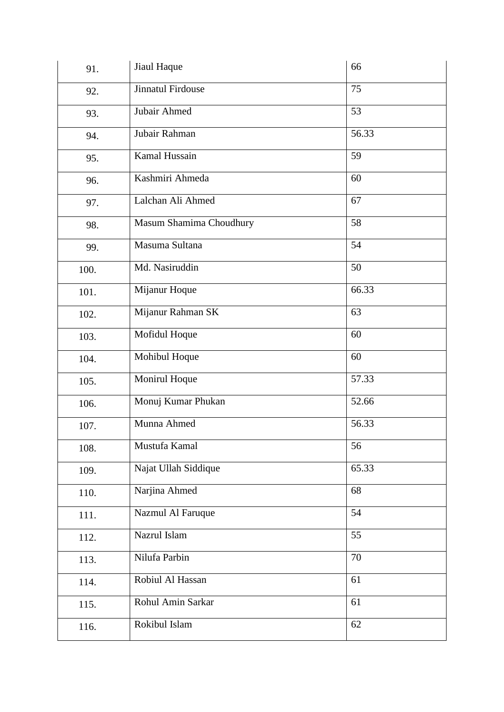| 91.  | Jiaul Haque              | 66    |
|------|--------------------------|-------|
| 92.  | <b>Jinnatul Firdouse</b> | 75    |
| 93.  | Jubair Ahmed             | 53    |
| 94.  | Jubair Rahman            | 56.33 |
| 95.  | Kamal Hussain            | 59    |
| 96.  | Kashmiri Ahmeda          | 60    |
| 97.  | Lalchan Ali Ahmed        | 67    |
| 98.  | Masum Shamima Choudhury  | 58    |
| 99.  | Masuma Sultana           | 54    |
| 100. | Md. Nasiruddin           | 50    |
| 101. | Mijanur Hoque            | 66.33 |
| 102. | Mijanur Rahman SK        | 63    |
| 103. | Mofidul Hoque            | 60    |
| 104. | Mohibul Hoque            | 60    |
| 105. | Monirul Hoque            | 57.33 |
| 106. | Monuj Kumar Phukan       | 52.66 |
| 107. | Munna Ahmed              | 56.33 |
| 108. | Mustufa Kamal            | 56    |
| 109. | Najat Ullah Siddique     | 65.33 |
| 110. | Narjina Ahmed            | 68    |
| 111. | Nazmul Al Faruque        | 54    |
| 112. | Nazrul Islam             | 55    |
| 113. | Nilufa Parbin            | 70    |
| 114. | Robiul Al Hassan         | 61    |
| 115. | Rohul Amin Sarkar        | 61    |
| 116. | Rokibul Islam            | 62    |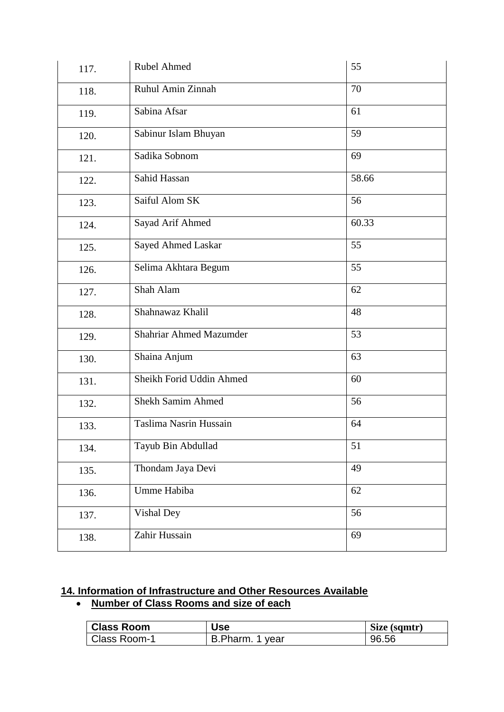| 117. | <b>Rubel Ahmed</b>             | 55    |
|------|--------------------------------|-------|
| 118. | Ruhul Amin Zinnah              | 70    |
| 119. | Sabina Afsar                   | 61    |
| 120. | Sabinur Islam Bhuyan           | 59    |
| 121. | Sadika Sobnom                  | 69    |
| 122. | Sahid Hassan                   | 58.66 |
| 123. | Saiful Alom SK                 | 56    |
| 124. | Sayad Arif Ahmed               | 60.33 |
| 125. | Sayed Ahmed Laskar             | 55    |
| 126. | Selima Akhtara Begum           | 55    |
| 127. | Shah Alam                      | 62    |
| 128. | Shahnawaz Khalil               | 48    |
| 129. | <b>Shahriar Ahmed Mazumder</b> | 53    |
| 130. | Shaina Anjum                   | 63    |
| 131. | Sheikh Forid Uddin Ahmed       | 60    |
| 132. | <b>Shekh Samim Ahmed</b>       | 56    |
| 133. | Taslima Nasrin Hussain         | 64    |
| 134. | Tayub Bin Abdullad             | 51    |
| 135. | Thondam Jaya Devi              | 49    |
| 136. | Umme Habiba                    | 62    |
| 137. | Vishal Dey                     | 56    |
| 138. | Zahir Hussain                  | 69    |

# **14. Information of Infrastructure and Other Resources Available**

# **Number of Class Rooms and size of each**

| <b>Class Room</b> | <b>Use</b>      | Size (sqmtr) |
|-------------------|-----------------|--------------|
| Class Room-1      | B.Pharm. 1 year | 96.56        |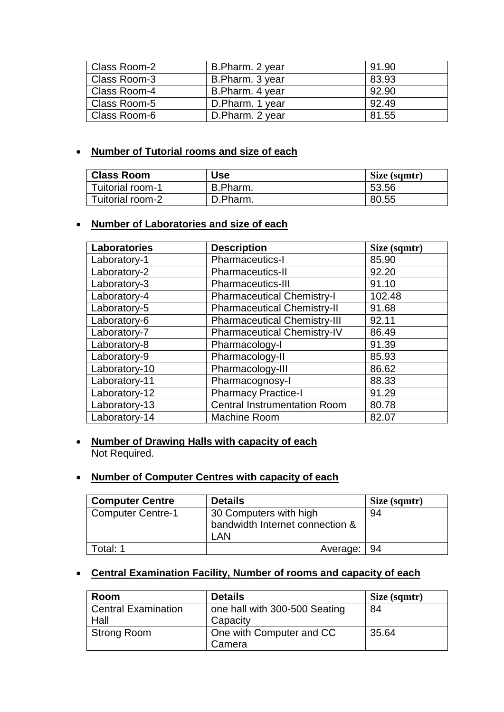| Class Room-2 | B.Pharm. 2 year | 91.90 |
|--------------|-----------------|-------|
| Class Room-3 | B.Pharm. 3 year | 83.93 |
| Class Room-4 | B.Pharm. 4 year | 92.90 |
| Class Room-5 | D.Pharm. 1 year | 92.49 |
| Class Room-6 | D.Pharm. 2 year | 81.55 |

# **Number of Tutorial rooms and size of each**

| <b>Class Room</b> | Use      | Size (sqmtr) |  |
|-------------------|----------|--------------|--|
| Tuitorial room-1  | B.Pharm. | 53.56        |  |
| Tuitorial room-2  | D.Pharm. | 80.55        |  |

#### **Number of Laboratories and size of each**

| <b>Laboratories</b> | <b>Description</b>                  | Size (sqmtr) |
|---------------------|-------------------------------------|--------------|
| Laboratory-1        | Pharmaceutics-I                     | 85.90        |
| Laboratory-2        | Pharmaceutics-II                    | 92.20        |
| Laboratory-3        | <b>Pharmaceutics-III</b>            | 91.10        |
| Laboratory-4        | <b>Pharmaceutical Chemistry-I</b>   | 102.48       |
| Laboratory-5        | <b>Pharmaceutical Chemistry-II</b>  | 91.68        |
| Laboratory-6        | <b>Pharmaceutical Chemistry-III</b> | 92.11        |
| Laboratory-7        | <b>Pharmaceutical Chemistry-IV</b>  | 86.49        |
| Laboratory-8        | Pharmacology-I                      | 91.39        |
| Laboratory-9        | Pharmacology-II                     | 85.93        |
| Laboratory-10       | Pharmacology-III                    | 86.62        |
| Laboratory-11       | Pharmacognosy-I                     | 88.33        |
| Laboratory-12       | <b>Pharmacy Practice-I</b>          | 91.29        |
| Laboratory-13       | <b>Central Instrumentation Room</b> | 80.78        |
| Laboratory-14       | <b>Machine Room</b>                 | 82.07        |

## **Number of Drawing Halls with capacity of each** Not Required.

#### **Number of Computer Centres with capacity of each**

| <b>Computer Centre</b>   | <b>Details</b>                                                   | Size (sqmtr) |
|--------------------------|------------------------------------------------------------------|--------------|
| <b>Computer Centre-1</b> | 30 Computers with high<br>bandwidth Internet connection &<br>LAN | 94           |
| Total: 1                 | Average:   94                                                    |              |

# **Central Examination Facility, Number of rooms and capacity of each**

| Room                       | <b>Details</b>                | Size (sqmtr) |
|----------------------------|-------------------------------|--------------|
| <b>Central Examination</b> | one hall with 300-500 Seating | 84           |
| Hall                       | Capacity                      |              |
| <b>Strong Room</b>         | One with Computer and CC      | 35.64        |
|                            | Camera                        |              |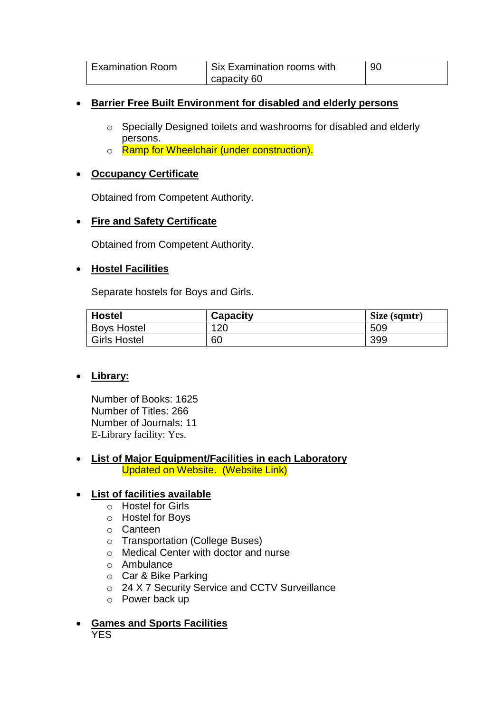| <b>Examination Room</b> | <b>Six Examination rooms with</b> | 90 |
|-------------------------|-----------------------------------|----|
|                         | capacity 60                       |    |

## **Barrier Free Built Environment for disabled and elderly persons**

- o Specially Designed toilets and washrooms for disabled and elderly persons.
- o Ramp for Wheelchair (under construction).

## **Occupancy Certificate**

Obtained from Competent Authority.

# **Fire and Safety Certificate**

Obtained from Competent Authority.

#### **Hostel Facilities**

Separate hostels for Boys and Girls.

| <b>Hostel</b>       | <b>Capacity</b> | Size (sqmtr) |  |
|---------------------|-----------------|--------------|--|
| <b>Boys Hostel</b>  | 120             | 509          |  |
| <b>Girls Hostel</b> | 60              | 399          |  |

# **Library:**

Number of Books: 1625 Number of Titles: 266 Number of Journals: 11 E-Library facility: Yes.

#### **List of Major Equipment/Facilities in each Laboratory** Updated on Website. (Website Link)

# **List of facilities available**

- o Hostel for Girls
- o Hostel for Boys
- o Canteen
- o Transportation (College Buses)
- o Medical Center with doctor and nurse
- o Ambulance
- o Car & Bike Parking
- o 24 X 7 Security Service and CCTV Surveillance
- o Power back up
- **Games and Sports Facilities YES**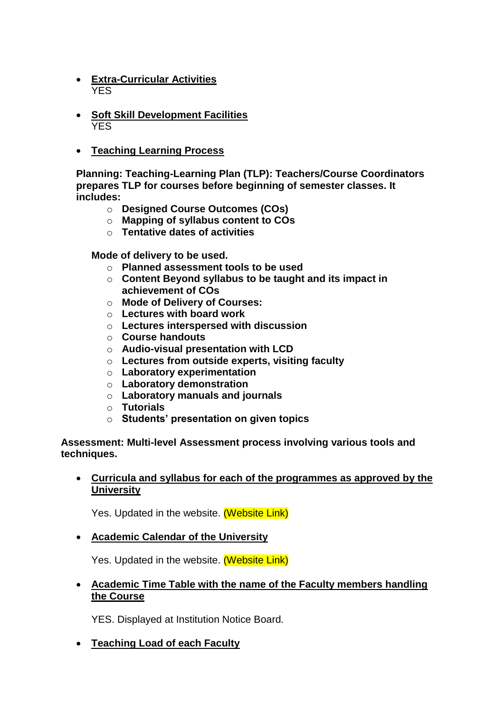- **Extra-Curricular Activities** YES
- **Soft Skill Development Facilities** YES
- **Teaching Learning Process**

**Planning: Teaching-Learning Plan (TLP): Teachers/Course Coordinators prepares TLP for courses before beginning of semester classes. It includes:**

- o **Designed Course Outcomes (COs)**
- o **Mapping of syllabus content to COs**
- o **Tentative dates of activities**

**Mode of delivery to be used.**

- o **Planned assessment tools to be used**
- o **Content Beyond syllabus to be taught and its impact in achievement of COs**
- o **Mode of Delivery of Courses:**
- o **Lectures with board work**
- o **Lectures interspersed with discussion**
- o **Course handouts**
- o **Audio-visual presentation with LCD**
- o **Lectures from outside experts, visiting faculty**
- o **Laboratory experimentation**
- o **Laboratory demonstration**
- o **Laboratory manuals and journals**
- o **Tutorials**
- o **Students' presentation on given topics**

**Assessment: Multi-level Assessment process involving various tools and techniques.** 

#### **Curricula and syllabus for each of the programmes as approved by the University**

Yes. Updated in the website. (Website Link)

#### **Academic Calendar of the University**

Yes. Updated in the website. (Website Link)

 **Academic Time Table with the name of the Faculty members handling the Course**

YES. Displayed at Institution Notice Board.

# **Teaching Load of each Faculty**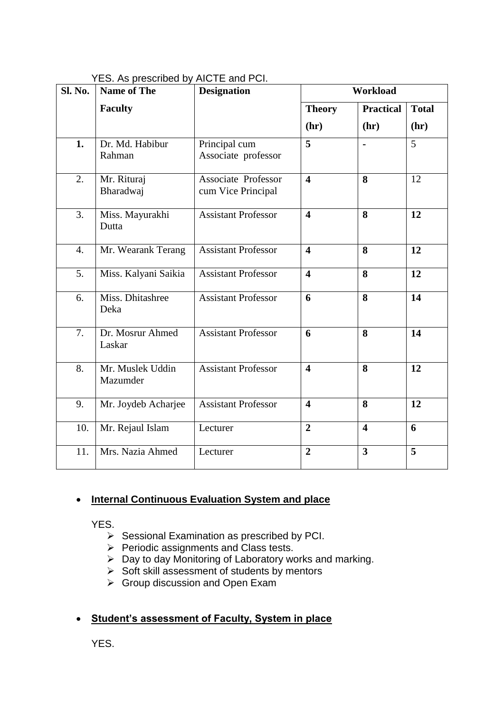| Sl. No. | <b>Name of The</b>           | <b>Designation</b>                        | Workload                |                         |              |
|---------|------------------------------|-------------------------------------------|-------------------------|-------------------------|--------------|
|         | <b>Faculty</b>               |                                           | <b>Theory</b>           | <b>Practical</b>        | <b>Total</b> |
|         |                              |                                           | (hr)                    | (hr)                    | (hr)         |
| 1.      | Dr. Md. Habibur<br>Rahman    | Principal cum<br>Associate professor      | 5                       |                         | 5            |
| 2.      | Mr. Rituraj<br>Bharadwaj     | Associate Professor<br>cum Vice Principal | $\overline{\mathbf{4}}$ | 8                       | 12           |
| 3.      | Miss. Mayurakhi<br>Dutta     | <b>Assistant Professor</b>                | $\overline{\mathbf{4}}$ | 8                       | 12           |
| 4.      | Mr. Wearank Terang           | <b>Assistant Professor</b>                | $\overline{\mathbf{4}}$ | 8                       | 12           |
| 5.      | Miss. Kalyani Saikia         | <b>Assistant Professor</b>                | $\overline{\mathbf{4}}$ | 8                       | 12           |
| 6.      | Miss. Dhitashree<br>Deka     | <b>Assistant Professor</b>                | 6                       | 8                       | 14           |
| 7.      | Dr. Mosrur Ahmed<br>Laskar   | <b>Assistant Professor</b>                | 6                       | 8                       | 14           |
| 8.      | Mr. Muslek Uddin<br>Mazumder | <b>Assistant Professor</b>                | $\overline{\mathbf{4}}$ | 8                       | 12           |
| 9.      | Mr. Joydeb Acharjee          | <b>Assistant Professor</b>                | $\overline{\mathbf{4}}$ | 8                       | 12           |
| 10.     | Mr. Rejaul Islam             | Lecturer                                  | $\overline{2}$          | $\overline{\mathbf{4}}$ | 6            |
| 11.     | Mrs. Nazia Ahmed             | Lecturer                                  | $\overline{2}$          | $\overline{\mathbf{3}}$ | 5            |

YES. As prescribed by AICTE and PCI.

# **Internal Continuous Evaluation System and place**

YES.

- $\triangleright$  Sessional Examination as prescribed by PCI.
- Periodic assignments and Class tests.
- $\triangleright$  Day to day Monitoring of Laboratory works and marking.
- $\triangleright$  Soft skill assessment of students by mentors
- $\triangleright$  Group discussion and Open Exam

# **Student's assessment of Faculty, System in place**

YES.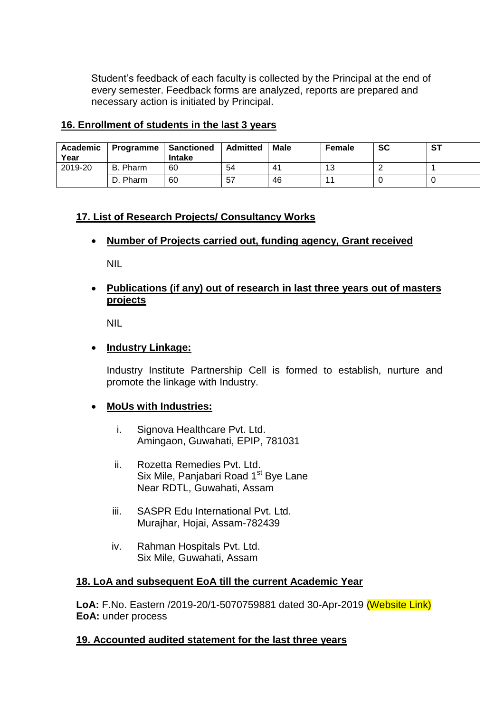Student's feedback of each faculty is collected by the Principal at the end of every semester. Feedback forms are analyzed, reports are prepared and necessary action is initiated by Principal.

#### **16. Enrollment of students in the last 3 years**

| Academic<br>Year | <b>Programme   Sanctioned</b> | <b>Intake</b> | Admitted | <b>Male</b> | Female | SC | <b>ST</b> |
|------------------|-------------------------------|---------------|----------|-------------|--------|----|-----------|
| 2019-20          | B. Pharm                      | 60            | 54       | 41          | 13     |    |           |
|                  | D. Pharm                      | 60            | -57      | 46          |        |    |           |

# **17. List of Research Projects/ Consultancy Works**

#### **Number of Projects carried out, funding agency, Grant received**

NIL

## **Publications (if any) out of research in last three years out of masters projects**

NIL

#### **Industry Linkage:**

Industry Institute Partnership Cell is formed to establish, nurture and promote the linkage with Industry.

# **MoUs with Industries:**

- i. Signova Healthcare Pvt. Ltd. Amingaon, Guwahati, EPIP, 781031
- ii. Rozetta Remedies Pvt. Ltd. Six Mile, Panjabari Road 1<sup>st</sup> Bye Lane Near RDTL, Guwahati, Assam
- iii. SASPR Edu International Pvt. Ltd. Murajhar, Hojai, Assam-782439
- iv. Rahman Hospitals Pvt. Ltd. Six Mile, Guwahati, Assam

#### **18. LoA and subsequent EoA till the current Academic Year**

**LoA:** F.No. Eastern /2019-20/1-5070759881 dated 30-Apr-2019 (Website Link) **EoA:** under process

#### **19. Accounted audited statement for the last three years**